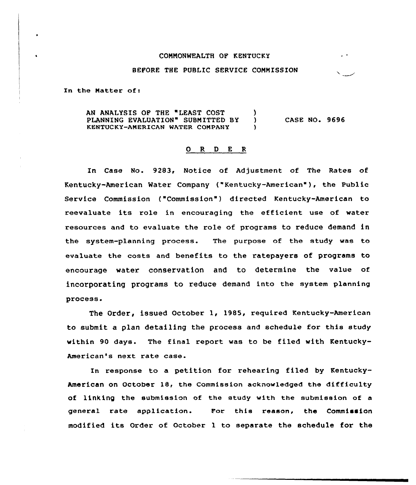## COMMONWEALTH OF KENTUCKY

## BEFORE THE PUBLIC SERVICE COMMISSION

In the Matter of:

AN ANALYSIS OF THE "LEAST COST )<br>PLANNING EVALUATION" SUBMITTED BY ) PLANNING EVALUATION" SUBMITTED BY ) KENTUCKY-AMERICAN WATER COMPANY ) CASE NO. 9696

## 0 R <sup>D</sup> E <sup>R</sup>

In Case No. 9283, Notice of Adjustment of The Rates of Kentucky-American Water Company ("Kentucky-American" ), the Public Service Commission ("Commission" ) directed Kentucky-American to reevaluate its role in encouraging the efficient use of resources and to evaluate the role of programs to reduce demand in the system-planning process. The purpose of the study was to evaluate the costs and benefits to the ratepayers of programs to encourage water conservation and to determine the value of incorporating programs to reduce demand into the system planning process.

The Order, issued October 1, 1985, required Kentucky-Amexican to submit a plan detailing the process and schedule for this study within 90 days. The final report was to be filed with Kentucky-American's next rate case.

In response to a petition for rehearing filed by Kentucky-American on October 18, the Commission acknowledged the difficulty of linking the submission of the study with the submission of a general rate application. For this reason, the Commission modified its Order of October <sup>1</sup> to separate the schedule for the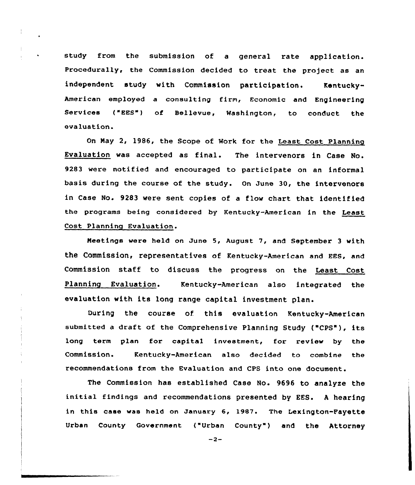study from the submission of a general rate application. Procedurally, the Commission decided to treat the project as an independent study with Commission participation. Kentucky-American employed a consulting firm, Economic and Engineering Services ("EES") of Bellevue, Washington, to conduct the evaluation.

On May 2, 1986, the Scope of Work for the Least Cost Planning Evaluation was accepted as final. The intervenors in Case No. 9283 were notified and encouraged to participate on an informal basis during the course of the study. On June 30, the intervenors in Case No. 9283 were sent copies of a flow chart that identified the programs being considered by Kentucky-American in the Least Cost Planning Evaluation.

Meetings were held on June 5, August 7, and September 3 with the Commission, representatives of Kentucky-American and EES, and Commission staff to discuss the progress on the Least Cost Planning Evaluation. Kentucky-American also integrated the evaluatian with its long range capital investment plan.

During the course of. this evaluation Kentucky-American submitted a draft of the Comprehensive Planning Study ("CPS"), its long term plan for capital investment, for review by the Commission. Kentucky-American also decided to combine the recommendations from the Evaluation and CPS into one dacument.

The Commission has established Case No. 9696 to analyze the initial findings and recommendations presented by EES. <sup>A</sup> hearing in this case was held on January 6, 1987. The Lexington-Payette Urban County Government ("Urban County") and the Attorney

 $-2-$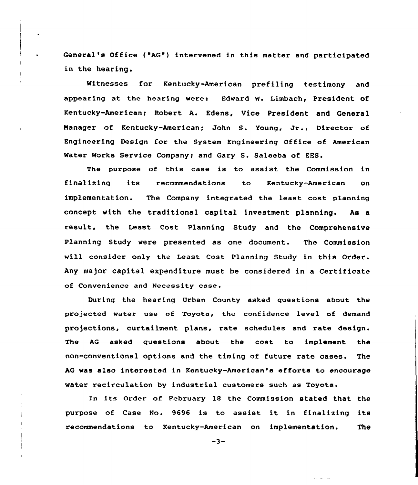General's Office ("AG") intervened in this matter and participated in the hearing.

Witnesses for Kentucky-American prefiling testimony and appearing at the hearing were: Edward W. Limbach, President of Kentucky-American< Robert A. Edens, Vice President and General Manager of Kentucky-American; John S. Young, Jr., Director of Engineering Design for the System Engineering Office of American Water Works Service Company; and Gary S. Saleeba of EES.

The purpose of this case is to assist the Commission in finalising its recommendations to Kentucky-American on implementation. The Company integrated the least cost planning concept vith the traditional capital investment planning. As a result, the Least Cost Planning Study and the Comprehensive Planning Study vere presented as one document. The Commission will consider only the Least Cost Planning Study in this Order. Any major capital expenditure must be considered in a Certificate of Convenience and Necessity case.

During the hearing Urban County asked questions about the projected vater use of Toyota, the confidence level of demand projections, curtailment plans, rate schedules and rate design. The AG asked questions about the cost to implement the non-conventional options and the timing of future rate cases. The AG vas also interested in Kentucky-American's efforts to encourage water recirculation by industrial customers such as Toyota.

Xn its Order of February 18 the Commission stated that the purpose of Case No. 9696 is to assist it in finalizing its recommendations to Kentucky-American on implementation. The

 $-3-$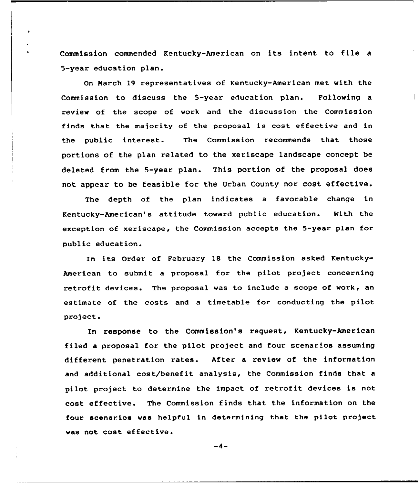Commission commended Kentucky-American on its intent to file <sup>a</sup> 5-year education plan.

 $\bullet$ 

On Narch 19 representatives of Kentucky-American met with the Commission to discuss the 5-year education plan. Following a review of the scope of work and the discussion the Commission finds that the majority of the proposal is cost effective and in the public interest. The Commission recommends that those portions of the plan related to the xeriscape landscape concept be deleted from the 5-year plan. This portion of the proposal does not appear to be feasible for the Urban County nor cost effective.

The depth of the plan indicates a favorable change in Kentucky-American's attitude toward public education. Nith the exception of xeriseape, the Commission accepts the 5-year plan for public education.

In its Order of February 18 the Commission asked Kentucky-American to submit a proposal for the pilot project concerning retrofit devices. The proposal was to include a scope of work, an estimate of the costs and a timetable for conducting the pilot project.

In response to the Commission's request, Kentucky-American filed a proposal for the pilot project and four scenarios assuming different penetration rates. After <sup>a</sup> review of the information and additional cost/benefit analysis, the Commission finds that a pilot project to determine the impact of retrofit devices is not cost effective. The Commission finds that the information on the four scenarios was helpful in determining that the pilot project was not cost effective.

 $-4-$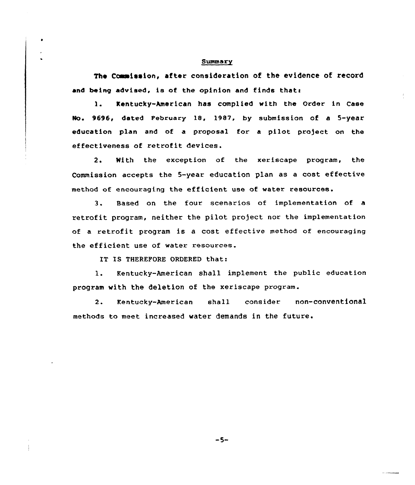## Summary

The Commission, after consideration of the evidence of record and being advised, is of the opinion and finds that:

1. Kentucky-American has complied with the Order in Case No. 9696, dated February 18, 1987, by submission of a 5-year education plan and of a proposal for a pilot project on the effectiveness of retrofit devices.

2. With the exception of the xeriscape program, the Commission accepts the 5-year education plan as <sup>a</sup> cost effective method of encouraging the efficient use of water resources.

3. Based on the four scenarios of implementation of <sup>a</sup> retrofit program, neither the pilot project nor the implementation of a retrofit program is <sup>a</sup> cost effective method of encouraging the efficient use of water resources.

IT IS THEREFORE ORDERED that:

l. Kentucky-American shall implement the public education program with the deletion of the xeriscape program.

2. Kentucky-American shall consider non-conventional methods to meet increased water demands in the future.

 $-5-$